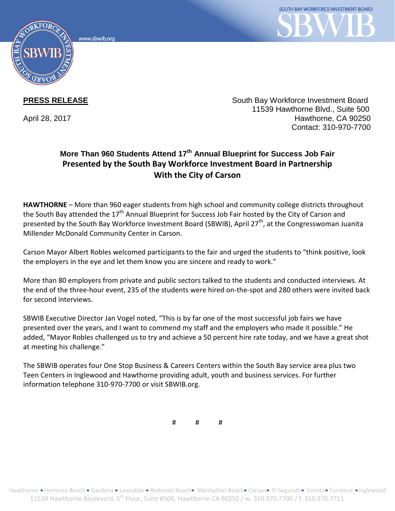www.sbwib.ord



**PRESS RELEASE** South Bay Workforce Investment Board 11539 Hawthorne Blvd., Suite 500 April 28, 2017 **Hawthorne, CA 90250** Contact: 310-970-7700

## **More Than 960 Students Attend 17th Annual Blueprint for Success Job Fair Presented by the South Bay Workforce Investment Board in Partnership With the City of Carson**

**HAWTHORNE** – More than 960 eager students from high school and community college districts throughout the South Bay attended the  $17<sup>th</sup>$  Annual Blueprint for Success Job Fair hosted by the City of Carson and presented by the South Bay Workforce Investment Board (SBWIB), April 27<sup>th</sup>, at the Congresswoman Juanita Millender McDonald Community Center in Carson.

Carson Mayor Albert Robles welcomed participants to the fair and urged the students to "think positive, look the employers in the eye and let them know you are sincere and ready to work."

More than 80 employers from private and public sectors talked to the students and conducted interviews. At the end of the three-hour event, 235 of the students were hired on-the-spot and 280 others were invited back for second interviews.

SBWIB Executive Director Jan Vogel noted, "This is by far one of the most successful job fairs we have presented over the years, and I want to commend my staff and the employers who made it possible." He added, "Mayor Robles challenged us to try and achieve a 50 percent hire rate today, and we have a great shot at meeting his challenge."

The SBWIB operates four One Stop Business & Careers Centers within the South Bay service area plus two Teen Centers in Inglewood and Hawthorne providing adult, youth and business services. For further information telephone 310-970-7700 or visit SBWIB.org.

# # #